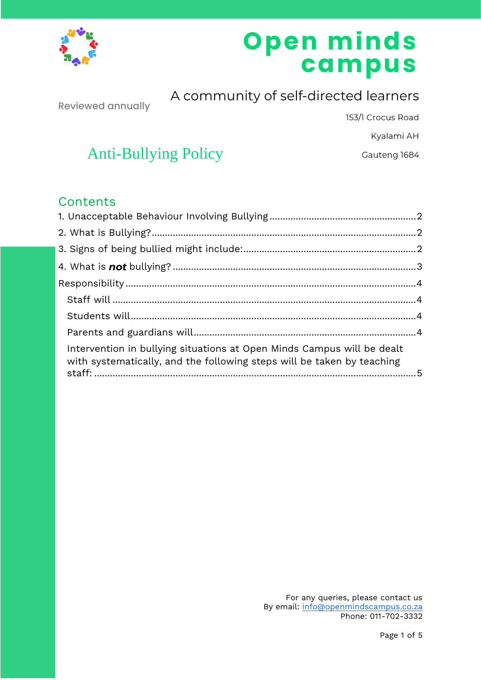

# **Open minds campus**

Reviewed annually

A community of self-directed learners

153/1 Crocus Road

Kyalami AH

Gauteng 1684

# Anti-Bullying Policy

# **Contents**

| Intervention in bullying situations at Open Minds Campus will be dealt<br>with systematically, and the following steps will be taken by teaching |  |
|--------------------------------------------------------------------------------------------------------------------------------------------------|--|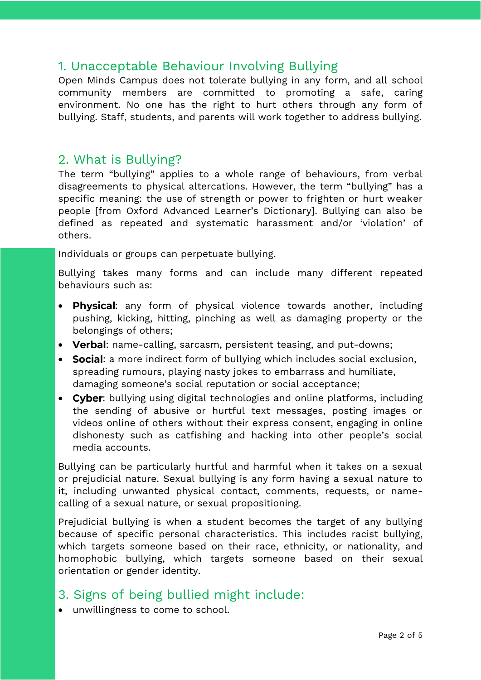## <span id="page-1-0"></span>1. Unacceptable Behaviour Involving Bullying

Open Minds Campus does not tolerate bullying in any form, and all school community members are committed to promoting a safe, caring environment. No one has the right to hurt others through any form of bullying. Staff, students, and parents will work together to address bullying.

## <span id="page-1-1"></span>2. What is Bullying?

The term "bullying" applies to a whole range of behaviours, from verbal disagreements to physical altercations. However, the term "bullying" has a specific meaning: **the use of strength or power to frighten or hurt weaker people** [from Oxford Advanced Learner's Dictionary]. Bullying can also be defined as **repeated** and **systematic harassment** and/or 'violation' of others.

Individuals or groups can perpetuate bullying.

Bullying takes many forms and can include many different repeated behaviours such as:

- Physical: any form of physical violence towards another, including pushing, kicking, hitting, pinching as well as damaging property or the belongings of others;
- Verbal: name-calling, sarcasm, persistent teasing, and put-downs;
- Social: a more indirect form of bullying which includes social exclusion, spreading rumours, playing nasty jokes to embarrass and humiliate, damaging someone's social reputation or social acceptance;
- Cyber: bullying using digital technologies and online platforms, including the sending of abusive or hurtful text messages, posting images or videos online of others without their express consent, engaging in online dishonesty such as catfishing and hacking into other people's social media accounts.

Bullying can be particularly hurtful and harmful when it takes on a sexual or prejudicial nature. Sexual bullying is any form having a sexual nature to it, including unwanted physical contact, comments, requests, or namecalling of a sexual nature, or sexual propositioning.

Prejudicial bullying is when a student becomes the target of any bullying because of specific personal characteristics. This includes racist bullying, which targets someone based on their race, ethnicity, or nationality, and homophobic bullying, which targets someone based on their sexual orientation or gender identity.

# <span id="page-1-2"></span>3. Signs of being bullied might include:

• unwillingness to come to school.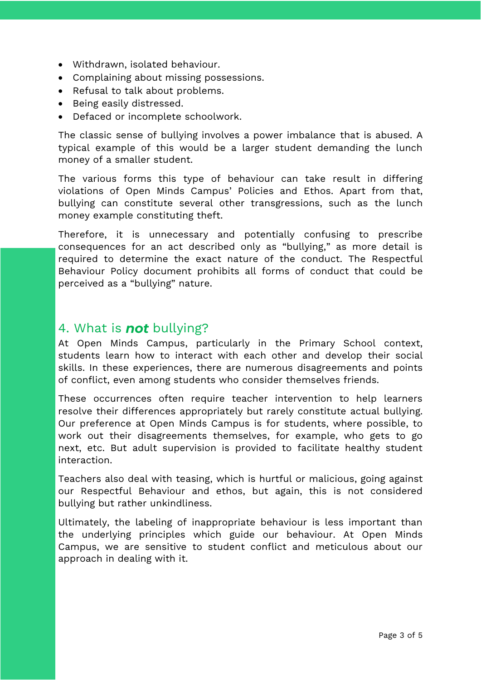- Withdrawn, isolated behaviour.
- Complaining about missing possessions.
- Refusal to talk about problems.
- Being easily distressed.
- Defaced or incomplete schoolwork.

The classic sense of bullying involves a power imbalance that is abused. A typical example of this would be a larger student demanding the lunch money of a smaller student.

The various forms this type of behaviour can take result in differing violations of Open Minds Campus' Policies and Ethos. Apart from that, bullying can constitute several other transgressions, such as the lunch money example constituting theft.

Therefore, it is unnecessary and potentially confusing to prescribe consequences for an act described only as "bullying," as more detail is required to determine the exact nature of the conduct. The Respectful Behaviour Policy document prohibits all forms of conduct that could be perceived as a "bullying" nature.

#### <span id="page-2-0"></span>4. What is **not** bullying?

At Open Minds Campus, particularly in the Primary School context, students learn how to interact with each other and develop their social skills. In these experiences, there are numerous disagreements and points of conflict, even among students who consider themselves friends.

These occurrences often require teacher intervention to help learners resolve their differences appropriately but rarely constitute actual bullying. Our preference at Open Minds Campus is for students, where possible, to work out their disagreements themselves, for example, who gets to go next, etc. But adult supervision is provided to facilitate healthy student interaction.

Teachers also deal with teasing, which is hurtful or malicious, going against our Respectful Behaviour and ethos, but again, this is not considered bullying but rather unkindliness.

Ultimately, the labeling of inappropriate behaviour is less important than the underlying principles which guide our behaviour. At Open Minds Campus, we are sensitive to student conflict and meticulous about our approach in dealing with it.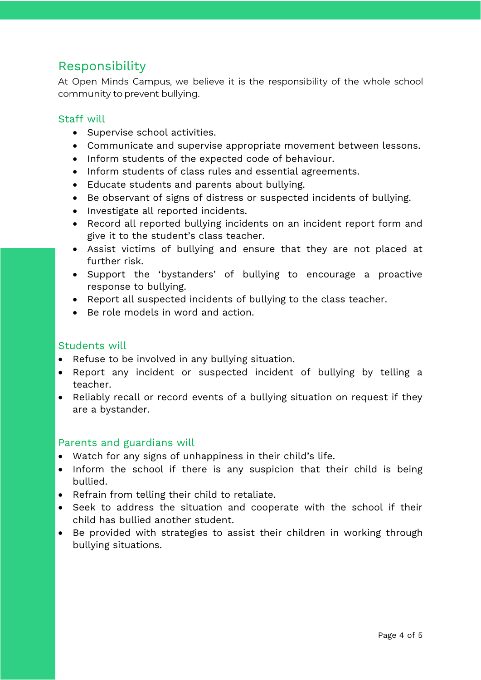# <span id="page-3-0"></span>Responsibility

At Open Minds Campus, we believe it is the responsibility of the whole school community to prevent bullying.

#### <span id="page-3-1"></span>Staff will

- Supervise school activities.
- Communicate and supervise appropriate movement between lessons.
- Inform students of the expected code of behaviour.
- Inform students of class rules and essential agreements.
- Educate students and parents about bullying.
- Be observant of signs of distress or suspected incidents of bullying.
- Investigate all reported incidents.
- Record all reported bullying incidents on an incident report form and give it to the student's class teacher.
- Assist victims of bullying and ensure that they are not placed at further risk.
- Support the 'bystanders' of bullying to encourage a proactive response to bullying.
- Report all suspected incidents of bullying to the class teacher.
- Be role models in word and action.

#### <span id="page-3-2"></span>Students will

- Refuse to be involved in any bullying situation.
- Report any incident or suspected incident of bullying by telling a teacher.
- Reliably recall or record events of a bullying situation on request if they are a bystander.

#### <span id="page-3-3"></span>Parents and guardians will

- Watch for any signs of unhappiness in their child's life.
- Inform the school if there is any suspicion that their child is being bullied.
- Refrain from telling their child to retaliate.
- Seek to address the situation and cooperate with the school if their child has bullied another student.
- Be provided with strategies to assist their children in working through bullying situations.